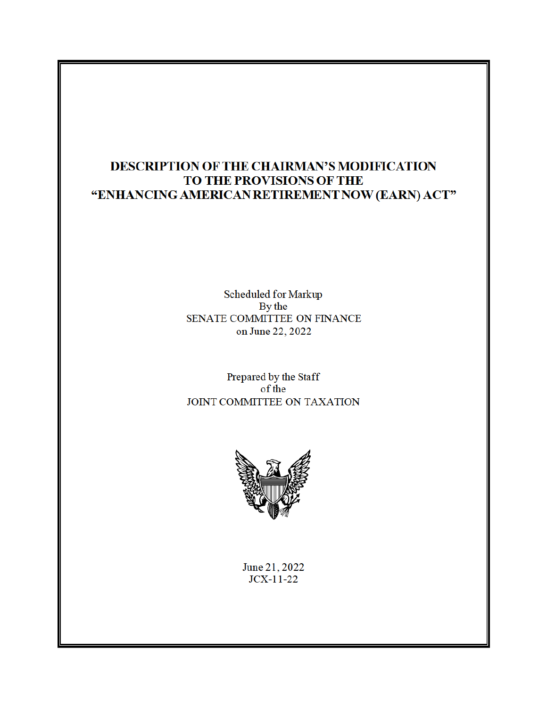# DESCRIPTION OF THE CHAIRMAN'S MODIFICATION TO THE PROVISIONS OF THE "ENHANCING AMERICAN RETIREMENT NOW (EARN) ACT"

Scheduled for Markup By the SENATE COMMITTEE ON FINANCE on June 22, 2022

Prepared by the Staff of the JOINT COMMITTEE ON TAXATION



June 21, 2022  $JCX-11-22$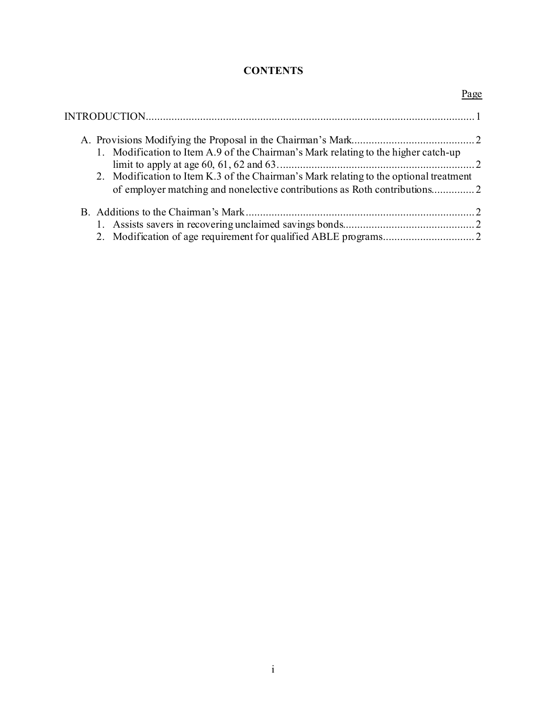## **CONTENTS**

| 2. Modification to Item K.3 of the Chairman's Mark relating to the optional treatment |
|---------------------------------------------------------------------------------------|
|                                                                                       |
|                                                                                       |
|                                                                                       |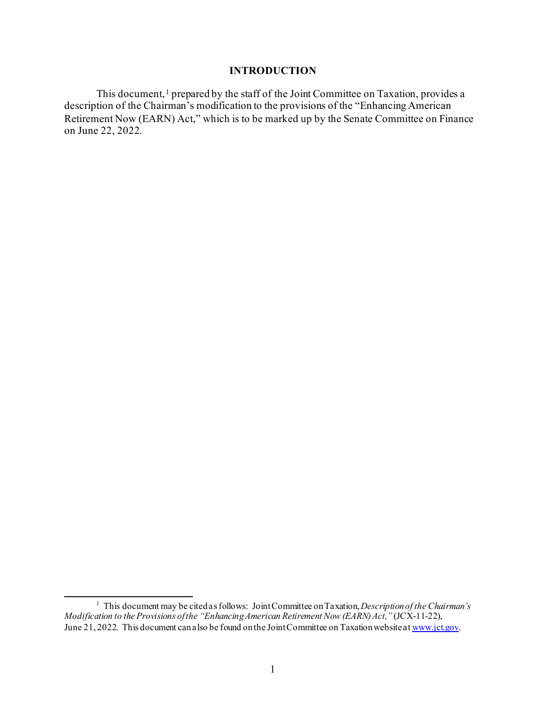#### **INTRODUCTION**

This document, <sup>1</sup> prepared by the staff of the Joint Committee on Taxation, provides a description of the Chairman's modification to the provisions of the "Enhancing American Retirement Now (EARN) Act," which is to be marked up by the Senate Committee on Finance on June 22, 2022.

<sup>&</sup>lt;sup>1</sup> This document may be cited as follows: Joint Committee on Taxation, *Description of the Chairman's Modification to the Provisions of the "Enhancing American Retirement Now (EARN) Act,"* (JCX-11-22), June 21, 2022. This document can also be found on the Joint Committee on Taxation website at www.jct.gov.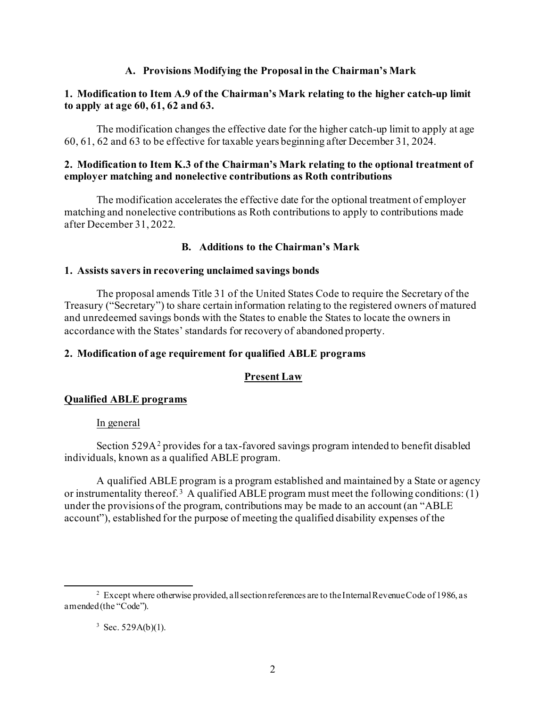## **A. Provisions Modifying the Proposal in the Chairman's Mark**

## **1. Modification to Item A.9 of the Chairman's Mark relating to the higher catch-up limit to apply at age 60, 61, 62 and 63.**

The modification changes the effective date for the higher catch-up limit to apply at age 60, 61, 62 and 63 to be effective for taxable years beginning after December 31, 2024.

## **2. Modification to Item K.3 of the Chairman's Mark relating to the optional treatment of employer matching and nonelective contributions as Roth contributions**

The modification accelerates the effective date for the optional treatment of employer matching and nonelective contributions as Roth contributions to apply to contributions made after December 31, 2022.

## **B. Additions to the Chairman's Mark**

#### **1. Assists savers in recovering unclaimed savings bonds**

The proposal amends Title 31 of the United States Code to require the Secretary of the Treasury ("Secretary") to share certain information relating to the registered owners of matured and unredeemed savings bonds with the States to enable the States to locate the owners in accordance with the States' standards for recovery of abandoned property.

## **2. Modification of age requirement for qualified ABLE programs**

## **Present Law**

#### **Qualified ABLE programs**

#### In general

Section 529A<sup>2</sup> provides for a tax-favored savings program intended to benefit disabled individuals, known as a qualified ABLE program.

A qualified ABLE program is a program established and maintained by a State or agency or instrumentality thereof.<sup>3</sup> A qualified ABLE program must meet the following conditions:  $(1)$ under the provisions of the program, contributions may be made to an account (an "ABLE account"), established for the purpose of meeting the qualified disability expenses of the

#### $3$  Sec. 529A(b)(1).

 $2$  Except where otherwise provided, all section references are to the Internal Revenue Code of 1986, as amended (the "Code").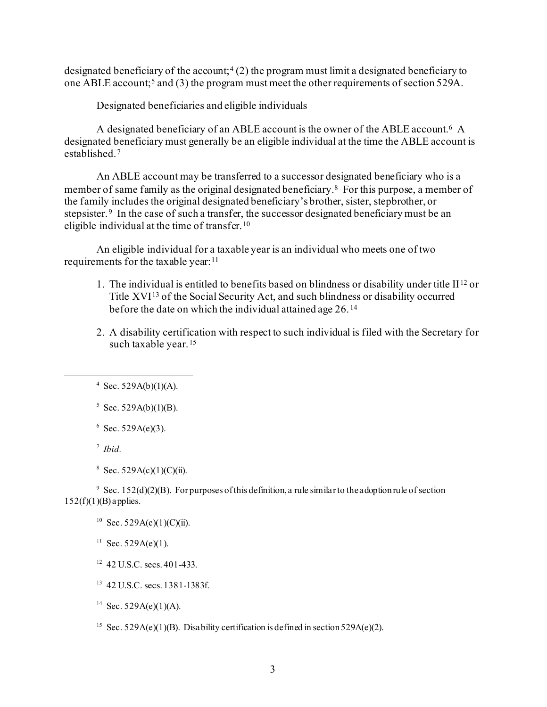designated beneficiary of the account;<sup>4</sup> (2) the program must limit a designated beneficiary to one ABLE account;<sup>5</sup> and (3) the program must meet the other requirements of section 529A.

## Designated beneficiaries and eligible individuals

A designated beneficiary of an ABLE account is the owner of the ABLE account.<sup>6</sup> A designated beneficiary must generally be an eligible individual at the time the ABLE account is established.7

An ABLE account may be transferred to a successor designated beneficiary who is a member of same family as the original designated beneficiary.<sup>8</sup> For this purpose, a member of the family includes the original designated beneficiary's brother, sister, stepbrother, or stepsister.<sup>9</sup> In the case of such a transfer, the successor designated beneficiary must be an eligible individual at the time of transfer.<sup>10</sup>

An eligible individual for a taxable year is an individual who meets one of two requirements for the taxable year:<sup>11</sup>

- 1. The individual is entitled to benefits based on blindness or disability under title  $II^{12}$  or Title XVI13 of the Social Security Act, and such blindness or disability occurred before the date on which the individual attained age 26. <sup>14</sup>
- 2. A disability certification with respect to such individual is filed with the Secretary for such taxable year.<sup>15</sup>

 $6$  Sec. 529A(e)(3).

7 *Ibid.*

<sup>9</sup> Sec. 152(d)(2)(B). For purposes of this definition, a rule similar to the adoption rule of section  $152(f)(1)(B)$  applies.

<sup>11</sup> Sec. 529A(e)(1).

- <sup>12</sup> 42 U.S.C. secs. 401-433.
- 13 42 U.S.C. secs. 1381-1383f.
- <sup>14</sup> Sec. 529A(e)(1)(A).
- <sup>15</sup> Sec. 529A(e)(1)(B). Disability certification is defined in section 529A(e)(2).

 $4$  Sec. 529A(b)(1)(A).

 $5$  Sec. 529A(b)(1)(B).

<sup>&</sup>lt;sup>8</sup> Sec. 529A(c)(1)(C)(ii).

<sup>&</sup>lt;sup>10</sup> Sec. 529A(c)(1)(C)(ii).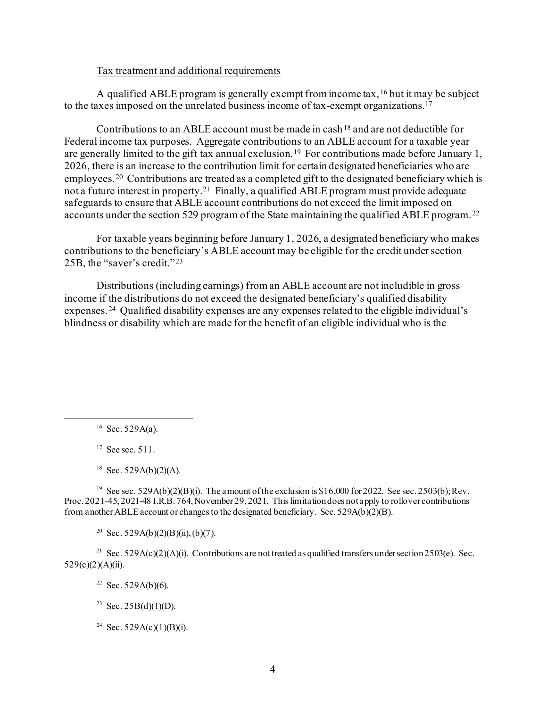#### Tax treatment and additional requirements

A qualified ABLE program is generally exempt from income tax, <sup>16</sup> but it may be subject to the taxes imposed on the unrelated business income of tax-exempt organizations.17

Contributions to an ABLE account must be made in cash  $^{18}$  and are not deductible for Federal income tax purposes. Aggregate contributions to an ABLE account for a taxable year are generally limited to the gift tax annual exclusion. 19 For contributions made before January 1, 2026, there is an increase to the contribution limit for certain designated beneficiaries who are employees.<sup>20</sup> Contributions are treated as a completed gift to the designated beneficiary which is not a future interest in property.<sup>21</sup> Finally, a qualified ABLE program must provide adequate safeguards to ensure that ABLE account contributions do not exceed the limit imposed on accounts under the section 529 program of the State maintaining the qualified ABLE program. <sup>22</sup>

For taxable years beginning before January 1, 2026, a designated beneficiary who makes contributions to the beneficiary's ABLE account may be eligible for the credit under section 25B, the "saver's credit." <sup>23</sup>

Distributions (including earnings) from an ABLE account are not includible in gross income if the distributions do not exceed the designated beneficiary's qualified disability expenses.24 Qualified disability expenses are any expenses related to the eligible individual's blindness or disability which are made for the benefit of an eligible individual who is the

 $16$  Sec. 529A(a).

 $17$  See sec. 511.

<sup>18</sup> Sec. 529A(b)(2)(A).

<sup>19</sup> See sec. 529A(b)(2)(B)(i). The amount of the exclusion is \$16,000 for 2022. See sec. 2503(b); Rev. Proc. 2021-45, 2021-48 I.R.B. 764, November 29, 2021. This limitation does not apply to rollover contributions from another ABLE account or changes to the designated beneficiary. Sec. 529A(b)(2)(B).

<sup>20</sup> Sec. 529A(b)(2)(B)(ii), (b)(7).

<sup>21</sup> Sec. 529A(c)(2)(A)(i). Contributions are not treated as qualified transfers under section 2503(e). Sec.  $529(c)(2)(A)(ii)$ .

<sup>22</sup> Sec. 529A(b)(6).

<sup>23</sup> Sec. 25B(d)(1)(D).

<sup>24</sup> Sec. 529A(c)(1)(B)(i).